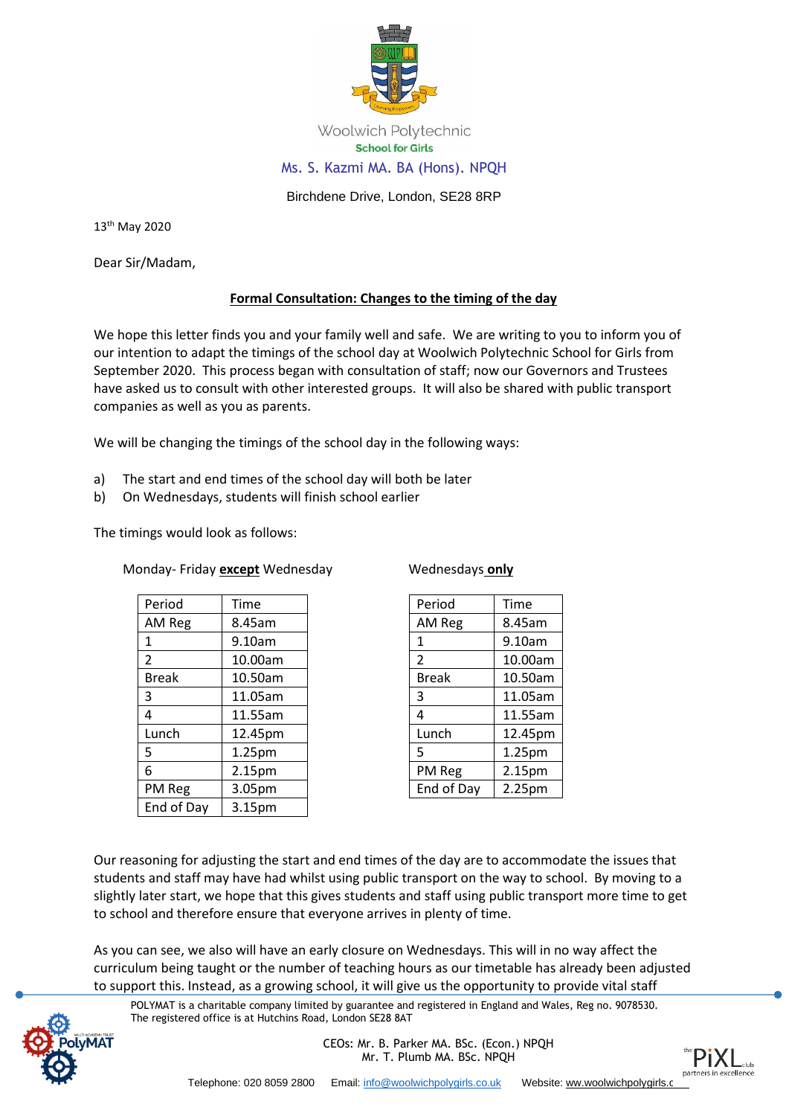

Birchdene Drive, London, SE28 8RP

13th May 2020

Dear Sir/Madam,

## **Formal Consultation: Changes to the timing of the day**

We hope this letter finds you and your family well and safe. We are writing to you to inform you of our intention to adapt the timings of the school day at Woolwich Polytechnic School for Girls from September 2020. This process began with consultation of staff; now our Governors and Trustees have asked us to consult with other interested groups. It will also be shared with public transport companies as well as you as parents.

We will be changing the timings of the school day in the following ways:

- a) The start and end times of the school day will both be later
- b) On Wednesdays, students will finish school earlier

The timings would look as follows:

| Period       | Time    | Period         | Time    |
|--------------|---------|----------------|---------|
| AM Reg       | 8.45am  | AM Reg         | 8.45am  |
| 1            | 9.10am  | 1              | 9.10am  |
| 2            | 10.00am | $\mathfrak{p}$ | 10.00am |
| <b>Break</b> | 10.50am | <b>Break</b>   | 10.50am |
| 3            | 11.05am | 3              | 11.05am |
| 4            | 11.55am | 4              | 11.55am |
| Lunch        | 12.45pm | Lunch          | 12.45pm |
| 5            | 1.25pm  | 5              | 1.25pm  |
| 6            | 2.15pm  | PM Reg         | 2.15pm  |
| PM Reg       | 3.05pm  | End of Day     | 2.25pm  |
| End of Day   | 3.15pm  |                |         |

Monday- Friday **except** Wednesday Wednesdays **only** 

| Period         | Time               |  |  |  |
|----------------|--------------------|--|--|--|
| AM Reg         | 8.45am             |  |  |  |
| 1              | 9.10am             |  |  |  |
| $\overline{2}$ | 10.00am            |  |  |  |
| Break          | 10.50am            |  |  |  |
| 3              | 11.05am            |  |  |  |
| 4              | 11.55am            |  |  |  |
| Lunch          | 12.45pm            |  |  |  |
| 5              | 1.25pm             |  |  |  |
| PM Reg         | 2.15 <sub>pm</sub> |  |  |  |
| End of Day     | 2.25 <sub>pm</sub> |  |  |  |
|                |                    |  |  |  |

Our reasoning for adjusting the start and end times of the day are to accommodate the issues that students and staff may have had whilst using public transport on the way to school. By moving to a slightly later start, we hope that this gives students and staff using public transport more time to get to school and therefore ensure that everyone arrives in plenty of time.

As you can see, we also will have an early closure on Wednesdays. This will in no way affect the curriculum being taught or the number of teaching hours as our timetable has already been adjusted to support this. Instead, as a growing school, it will give us the opportunity to provide vital staff

POLYMAT is a charitable company limited by guarantee and registered in England and Wales, Reg no. 9078530. The registered office is at Hutchins Road, London SE28 8AT



CEOs: Mr. B. Parker MA. BSc. (Econ.) NPQH Mr. T. Plumb MA. BSc. NPQH